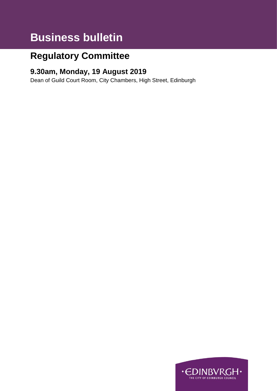# **Business bulletin**

## **Regulatory Committee**

### **9.30am, Monday, 19 August 2019**

Dean of Guild Court Room, City Chambers, High Street, Edinburgh

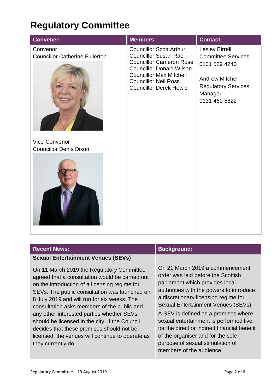## **Regulatory Committee**

| <b>Convener:</b>                                                                                    | <b>Members:</b>                                                                                                                                                                                                                      | <b>Contact:</b>                                                                                                                                   |
|-----------------------------------------------------------------------------------------------------|--------------------------------------------------------------------------------------------------------------------------------------------------------------------------------------------------------------------------------------|---------------------------------------------------------------------------------------------------------------------------------------------------|
| Convenor<br><b>Councillor Catherine Fullerton</b><br>Vice-Convenor<br><b>Councillor Denis Dixon</b> | <b>Councillor Scott Arthur</b><br><b>Councillor Susan Rae</b><br><b>Councillor Cameron Rose</b><br><b>Councillor Donald Wilson</b><br><b>Councillor Max Mitchell</b><br><b>Councillor Neil Ross</b><br><b>Councillor Derek Howie</b> | Lesley Birrell,<br><b>Committee Services</b><br>0131 529 4240<br><b>Andrew Mitchell</b><br><b>Regulatory Services</b><br>Manager<br>0131 469 5822 |

#### **Sexual Entertainment Venues (SEVs)**

On 11 March 2019 the Regulatory Committee agreed that a consultation would be carried out on the introduction of a licensing regime for SEVs. The public consultation was launched on 8 July 2019 and will run for six weeks. The consultation asks members of the public and any other interested parties whether SEVs should be licensed in the city. If the Council decides that these premises should not be licensed, the venues will continue to operate as they currently do*.*

#### **Recent News: Background: Background:**

On 21 March 2019 a commencement order was laid before the Scottish parliament which provides local authorities with the powers to introduce a discretionary licensing regime for Sexual Entertainment Venues (SEVs).

A SEV is defined as a premises where sexual entertainment is performed live, for the direct or indirect financial benefit of the organiser and for the sole purpose of sexual stimulation of members of the audience.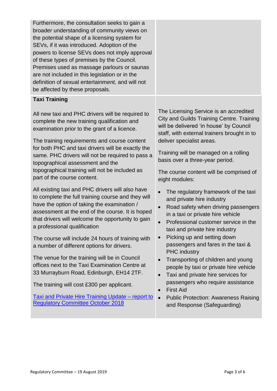| Furthermore, the consultation seeks to gain a<br>broader understanding of community views on<br>the potential shape of a licensing system for<br>SEVs, if it was introduced. Adoption of the<br>powers to license SEVs does not imply approval<br>of these types of premises by the Council.<br>Premises used as massage parlours or saunas<br>are not included in this legislation or in the<br>definition of sexual entertainment, and will not<br>be affected by these proposals. |                                                                                                                                                                                                                                      |  |
|--------------------------------------------------------------------------------------------------------------------------------------------------------------------------------------------------------------------------------------------------------------------------------------------------------------------------------------------------------------------------------------------------------------------------------------------------------------------------------------|--------------------------------------------------------------------------------------------------------------------------------------------------------------------------------------------------------------------------------------|--|
| <b>Taxi Training</b>                                                                                                                                                                                                                                                                                                                                                                                                                                                                 |                                                                                                                                                                                                                                      |  |
| All new taxi and PHC drivers will be required to<br>complete the new training qualification and<br>examination prior to the grant of a licence.<br>The training requirements and course content<br>for both PHC and taxi drivers will be exactly the                                                                                                                                                                                                                                 | The Licensing Service is an accredited<br><b>City and Guilds Training Centre. Training</b><br>will be delivered 'in house' by Council<br>staff, with external trainers brought in to<br>deliver specialist areas.                    |  |
| same. PHC drivers will not be required to pass a<br>topographical assessment and the                                                                                                                                                                                                                                                                                                                                                                                                 | Training will be managed on a rolling<br>basis over a three-year period.                                                                                                                                                             |  |
| topographical training will not be included as<br>part of the course content.                                                                                                                                                                                                                                                                                                                                                                                                        | The course content will be comprised of<br>eight modules:                                                                                                                                                                            |  |
| All existing taxi and PHC drivers will also have<br>to complete the full training course and they will<br>have the option of taking the examination /<br>assessment at the end of the course. It is hoped<br>that drivers will welcome the opportunity to gain<br>a professional qualification                                                                                                                                                                                       | The regulatory framework of the taxi<br>and private hire industry<br>Road safety when driving passengers<br>$\bullet$<br>in a taxi or private hire vehicle<br>Professional customer service in the<br>taxi and private hire industry |  |
| The course will include 24 hours of training with<br>a number of different options for drivers.                                                                                                                                                                                                                                                                                                                                                                                      | Picking up and setting down<br>$\bullet$<br>passengers and fares in the taxi &                                                                                                                                                       |  |
| The venue for the training will be in Council<br>offices next to the Taxi Examination Centre at<br>33 Murrayburn Road, Edinburgh, EH14 2TF.<br>The training will cost £300 per applicant.                                                                                                                                                                                                                                                                                            | <b>PHC</b> industry<br>Transporting of children and young<br>people by taxi or private hire vehicle<br>Taxi and private hire services for<br>passengers who require assistance                                                       |  |
| <b>Taxi and Private Hire Training Update - report to</b><br><b>Regulatory Committee October 2018</b>                                                                                                                                                                                                                                                                                                                                                                                 | <b>First Aid</b><br>$\bullet$<br><b>Public Protection: Awareness Raising</b><br>and Response (Safeguarding)                                                                                                                          |  |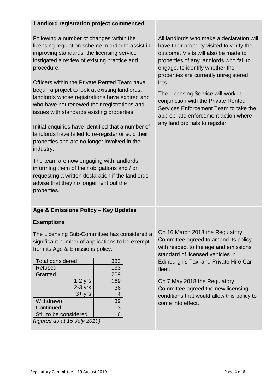#### **Landlord registration project commenced**

Following a number of changes within the licensing regulation scheme in order to assist in improving standards, the licensing service instigated a review of existing practice and procedure.

Officers within the Private Rented Team have begun a project to look at existing landlords, landlords whose registrations have expired and who have not renewed their registrations and issues with standards existing properties.

Initial enquiries have identified that a number of landlords have failed to re-register or sold their properties and are no longer involved in the industry.

The team are now engaging with landlords, informing them of their obligations and / or requesting a written declaration if the landlords advise that they no longer rent out the properties.

### **Age & Emissions Policy – Key Updates**

#### **Exemptions**

The Licensing Sub-Committee has considered a significant number of applications to be exempt from its Age & Emissions policy.

| <b>Total considered</b>      | 383            |  |
|------------------------------|----------------|--|
| <b>Refused</b>               | 133            |  |
| Granted                      | 209            |  |
| $1-2$ yrs                    | 169            |  |
| $2-3$ yrs                    | 36             |  |
| $3 + yrs$                    | $\overline{4}$ |  |
| Withdrawn                    | 39             |  |
| Continued                    | 13             |  |
| Still to be considered       | 16             |  |
| (figures as at 15 July 2019) |                |  |

All landlords who make a declaration will have their property visited to verify the outcome. Visits will also be made to properties of any landlords who fail to engage, to identify whether the properties are currently unregistered lets.

The Licensing Service will work in conjunction with the Private Rented Services Enforcement Team to take the appropriate enforcement action where any landlord fails to register.

On 16 March 2018 the Regulatory Committee agreed to amend its policy with respect to the age and emissions standard of licensed vehicles in Edinburgh's Taxi and Private Hire Car fleet.

On 7 May 2018 the Regulatory Committee agreed the new licensing conditions that would allow this policy to come into effect.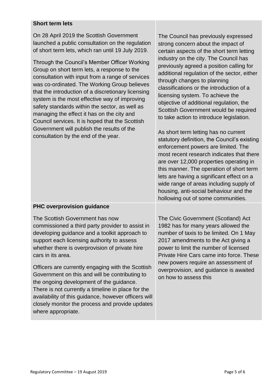#### **Short term lets**

On 28 April 2019 the Scottish Government launched a public consultation on the regulation of short term lets, which ran until 19 July 2019.

Through the Council's Member Officer Working Group on short term lets, a response to the consultation with input from a range of services was co-ordinated. The Working Group believes that the introduction of a discretionary licensing system is the most effective way of improving safety standards within the sector, as well as managing the effect it has on the city and Council services. It is hoped that the Scottish Government will publish the results of the consultation by the end of the year.

The Council has previously expressed strong concern about the impact of certain aspects of the short term letting industry on the city. The Council has previously agreed a position calling for additional regulation of the sector, either through changes to planning classifications or the introduction of a licensing system. To achieve the objective of additional regulation, the Scottish Government would be required to take action to introduce legislation.

As short term letting has no current statutory definition, the Council's existing enforcement powers are limited. The most recent research indicates that there are over 12,000 properties operating in this manner. The operation of short term lets are having a significant effect on a wide range of areas including supply of housing, anti-social behaviour and the hollowing out of some communities.

#### **PHC overprovision guidance**

The Scottish Government has now commissioned a third party provider to assist in developing guidance and a toolkit approach to support each licensing authority to assess whether there is overprovision of private hire cars in its area.

Officers are currently engaging with the Scottish Government on this and will be contributing to the ongoing development of the guidance. There is not currently a timeline in place for the availability of this guidance, however officers will closely monitor the process and provide updates where appropriate.

The Civic Government (Scotland) Act 1982 has for many years allowed the number of taxis to be limited. On 1 May 2017 amendments to the Act giving a power to limit the number of licensed Private Hire Cars came into force. These new powers require an assessment of overprovision, and guidance is awaited on how to assess this